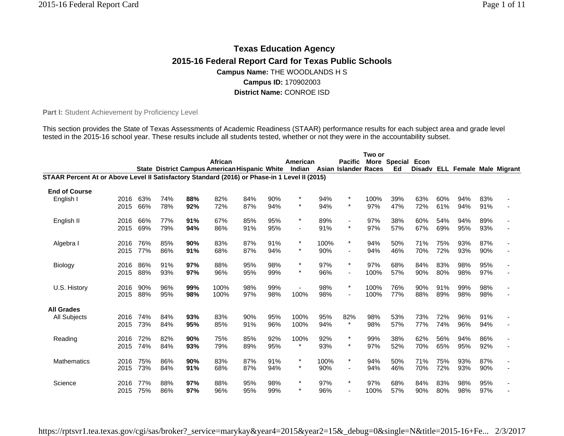# **Texas Education Agency 2015-16 Federal Report Card for Texas Public Schools Campus Name:** THE WOODLANDS H S **Campus ID:** 170902003 **District Name:** CONROE ISD

Part I: Student Achievement by Proficiency Level

This section provides the State of Texas Assessments of Academic Readiness (STAAR) performance results for each subject area and grade level tested in the 2015-16 school year. These results include all students tested, whether or not they were in the accountability subset.

|                                                                                               |      |     |     |     |                                                                           |     |     |          |      |                          | Two or |              |      |     |                                |     |  |
|-----------------------------------------------------------------------------------------------|------|-----|-----|-----|---------------------------------------------------------------------------|-----|-----|----------|------|--------------------------|--------|--------------|------|-----|--------------------------------|-----|--|
|                                                                                               |      |     |     |     | African                                                                   |     |     | American |      | <b>Pacific</b>           |        | More Special | Econ |     |                                |     |  |
|                                                                                               |      |     |     |     | State District Campus American Hispanic White Indian Asian Islander Races |     |     |          |      |                          |        | Ed           |      |     | Disadv ELL Female Male Migrant |     |  |
| STAAR Percent At or Above Level II Satisfactory Standard (2016) or Phase-in 1 Level II (2015) |      |     |     |     |                                                                           |     |     |          |      |                          |        |              |      |     |                                |     |  |
| <b>End of Course</b>                                                                          |      |     |     |     |                                                                           |     |     |          |      |                          |        |              |      |     |                                |     |  |
| English I                                                                                     | 2016 | 63% | 74% | 88% | 82%                                                                       | 84% | 90% | $^\star$ | 94%  | $\star$                  | 100%   | 39%          | 63%  | 60% | 94%                            | 83% |  |
|                                                                                               | 2015 | 66% | 78% | 92% | 72%                                                                       | 87% | 94% | $\star$  | 94%  | $\star$                  | 97%    | 47%          | 72%  | 61% | 94%                            | 91% |  |
| English II                                                                                    | 2016 | 66% | 77% | 91% | 67%                                                                       | 85% | 95% | $\star$  | 89%  | $\blacksquare$           | 97%    | 38%          | 60%  | 54% | 94%                            | 89% |  |
|                                                                                               | 2015 | 69% | 79% | 94% | 86%                                                                       | 91% | 95% |          | 91%  | $\star$                  | 97%    | 57%          | 67%  | 69% | 95%                            | 93% |  |
| Algebra I                                                                                     | 2016 | 76% | 85% | 90% | 83%                                                                       | 87% | 91% | $\star$  | 100% | $\star$                  | 94%    | 50%          | 71%  | 75% | 93%                            | 87% |  |
|                                                                                               | 2015 | 77% | 86% | 91% | 68%                                                                       | 87% | 94% | $\star$  | 90%  | $\overline{\phantom{a}}$ | 94%    | 46%          | 70%  | 72% | 93%                            | 90% |  |
| Biology                                                                                       | 2016 | 86% | 91% | 97% | 88%                                                                       | 95% | 98% | $\star$  | 97%  | $\star$                  | 97%    | 68%          | 84%  | 83% | 98%                            | 95% |  |
|                                                                                               | 2015 | 88% | 93% | 97% | 96%                                                                       | 95% | 99% | $\star$  | 96%  | $\blacksquare$           | 100%   | 57%          | 90%  | 80% | 98%                            | 97% |  |
| U.S. History                                                                                  | 2016 | 90% | 96% | 99% | 100%                                                                      | 98% | 99% |          | 98%  | $\star$                  | 100%   | 76%          | 90%  | 91% | 99%                            | 98% |  |
|                                                                                               | 2015 | 88% | 95% | 98% | 100%                                                                      | 97% | 98% | 100%     | 98%  | $\overline{\phantom{a}}$ | 100%   | 77%          | 88%  | 89% | 98%                            | 98% |  |
| <b>All Grades</b>                                                                             |      |     |     |     |                                                                           |     |     |          |      |                          |        |              |      |     |                                |     |  |
| <b>All Subjects</b>                                                                           | 2016 | 74% | 84% | 93% | 83%                                                                       | 90% | 95% | 100%     | 95%  | 82%                      | 98%    | 53%          | 73%  | 72% | 96%                            | 91% |  |
|                                                                                               | 2015 | 73% | 84% | 95% | 85%                                                                       | 91% | 96% | 100%     | 94%  | $\star$                  | 98%    | 57%          | 77%  | 74% | 96%                            | 94% |  |
| Reading                                                                                       | 2016 | 72% | 82% | 90% | 75%                                                                       | 85% | 92% | 100%     | 92%  | $\star$                  | 99%    | 38%          | 62%  | 56% | 94%                            | 86% |  |
|                                                                                               | 2015 | 74% | 84% | 93% | 79%                                                                       | 89% | 95% | $\star$  | 93%  | $\star$                  | 97%    | 52%          | 70%  | 65% | 95%                            | 92% |  |
| <b>Mathematics</b>                                                                            | 2016 | 75% | 86% | 90% | 83%                                                                       | 87% | 91% | $\star$  | 100% | $\star$                  | 94%    | 50%          | 71%  | 75% | 93%                            | 87% |  |
|                                                                                               | 2015 | 73% | 84% | 91% | 68%                                                                       | 87% | 94% | $^\star$ | 90%  | $\blacksquare$           | 94%    | 46%          | 70%  | 72% | 93%                            | 90% |  |
| Science                                                                                       | 2016 | 77% | 88% | 97% | 88%                                                                       | 95% | 98% | $\star$  | 97%  | $\star$                  | 97%    | 68%          | 84%  | 83% | 98%                            | 95% |  |
|                                                                                               | 2015 | 75% | 86% | 97% | 96%                                                                       | 95% | 99% | $\star$  | 96%  |                          | 100%   | 57%          | 90%  | 80% | 98%                            | 97% |  |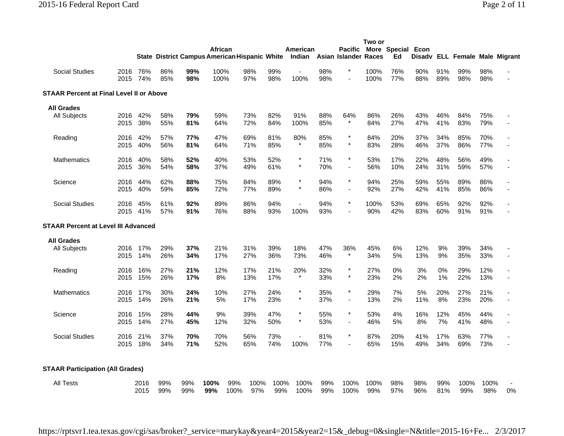|                                          |              |              |            | <b>State District Campus American Hispanic White</b> | African      |             |             |             | American<br>Indian     |            | <b>Pacific</b><br>Asian Islander Races | Two or       | More Special Econ<br>Ed |            |            | Disadv ELL Female Male Migrant |             |    |
|------------------------------------------|--------------|--------------|------------|------------------------------------------------------|--------------|-------------|-------------|-------------|------------------------|------------|----------------------------------------|--------------|-------------------------|------------|------------|--------------------------------|-------------|----|
| <b>Social Studies</b>                    | 2016<br>2015 | 76%<br>74%   | 86%<br>85% | 99%<br>98%                                           | 100%<br>100% |             | 98%<br>97%  | 99%<br>98%  | 100%                   | 98%<br>98% |                                        | 100%<br>100% | 76%<br>77%              | 90%<br>88% | 91%<br>89% | 99%<br>98%                     | 98%<br>98%  |    |
| STAAR Percent at Final Level II or Above |              |              |            |                                                      |              |             |             |             |                        |            |                                        |              |                         |            |            |                                |             |    |
| <b>All Grades</b>                        |              |              |            |                                                      |              |             |             |             |                        |            |                                        |              |                         |            |            |                                |             |    |
| All Subjects                             | 2016<br>2015 | 42%<br>38%   | 58%<br>55% | 79%<br>81%                                           | 59%<br>64%   |             | 73%<br>72%  | 82%<br>84%  | 91%<br>100%            | 88%<br>85% | 64%<br>$^\star$                        | 86%<br>84%   | 26%<br>27%              | 43%<br>47% | 46%<br>41% | 84%<br>83%                     | 75%<br>79%  |    |
| Reading                                  | 2016<br>2015 | 42%<br>40%   | 57%<br>56% | 77%<br>81%                                           | 47%<br>64%   |             | 69%<br>71%  | 81%<br>85%  | 80%                    | 85%<br>85% | $\star$<br>$\pmb{\ast}$                | 84%<br>83%   | 20%<br>28%              | 37%<br>46% | 34%<br>37% | 85%<br>86%                     | 70%<br>77%  |    |
| <b>Mathematics</b>                       | 2016<br>2015 | 40%<br>36%   | 58%<br>54% | 52%<br>58%                                           | 40%<br>37%   |             | 53%<br>49%  | 52%<br>61%  | $\star$                | 71%<br>70% | $\star$<br>$\blacksquare$              | 53%<br>56%   | 17%<br>10%              | 22%<br>24% | 48%<br>31% | 56%<br>59%                     | 49%<br>57%  |    |
| Science                                  | 2016<br>2015 | 44%<br>40%   | 62%<br>59% | 88%<br>85%                                           | 75%<br>72%   |             | 84%<br>77%  | 89%<br>89%  | $^\star$<br>$\star$    | 94%<br>86% | $\star$<br>$\blacksquare$              | 94%<br>92%   | 25%<br>27%              | 59%<br>42% | 55%<br>41% | 89%<br>85%                     | 86%<br>86%  |    |
| <b>Social Studies</b>                    | 2016<br>2015 | 45%<br>41%   | 61%<br>57% | 92%<br>91%                                           | 89%<br>76%   |             | 86%<br>88%  | 94%<br>93%  | $\blacksquare$<br>100% | 94%<br>93% | $\pmb{\ast}$                           | 100%<br>90%  | 53%<br>42%              | 69%<br>83% | 65%<br>60% | 92%<br>91%                     | 92%<br>91%  |    |
| STAAR Percent at Level III Advanced      |              |              |            |                                                      |              |             |             |             |                        |            |                                        |              |                         |            |            |                                |             |    |
| <b>All Grades</b>                        |              |              |            |                                                      |              |             |             |             |                        |            |                                        |              |                         |            |            |                                |             |    |
| All Subjects                             | 2016<br>2015 | 17%<br>14%   | 29%<br>26% | 37%<br>34%                                           | 21%<br>17%   |             | 31%<br>27%  | 39%<br>36%  | 18%<br>73%             | 47%<br>46% | 36%<br>$\star$                         | 45%<br>34%   | 6%<br>5%                | 12%<br>13% | 9%<br>9%   | 39%<br>35%                     | 34%<br>33%  |    |
| Reading                                  | 2016<br>2015 | 16%<br>15%   | 27%<br>26% | 21%<br>17%                                           | 12%<br>8%    |             | 17%<br>13%  | 21%<br>17%  | 20%                    | 32%<br>33% | $\star$<br>$\star$                     | 27%<br>23%   | 0%<br>2%                | 3%<br>2%   | 0%<br>1%   | 29%<br>22%                     | 12%<br>13%  |    |
| <b>Mathematics</b>                       | 2016<br>2015 | 17%<br>14%   | 30%<br>26% | 24%<br>21%                                           | 10%<br>5%    |             | 27%<br>17%  | 24%<br>23%  | $^\star$<br>$^\star$   | 35%<br>37% | $\star$<br>$\overline{\phantom{a}}$    | 29%<br>13%   | 7%<br>2%                | 5%<br>11%  | 20%<br>8%  | 27%<br>23%                     | 21%<br>20%  |    |
| Science                                  | 2016<br>2015 | 15%<br>14%   | 28%<br>27% | 44%<br>45%                                           | 9%<br>12%    |             | 39%<br>32%  | 47%<br>50%  | $\star$<br>$\star$     | 55%<br>53% | $^\star$<br>$\blacksquare$             | 53%<br>46%   | 4%<br>5%                | 16%<br>8%  | 12%<br>7%  | 45%<br>41%                     | 44%<br>48%  |    |
| <b>Social Studies</b>                    | 2016<br>2015 | 21%<br>18%   | 37%<br>34% | 70%<br>71%                                           | 70%<br>52%   |             | 56%<br>65%  | 73%<br>74%  | $\blacksquare$<br>100% | 81%<br>77% | $\pmb{\ast}$<br>$\blacksquare$         | 87%<br>65%   | 20%<br>15%              | 41%<br>49% | 17%<br>34% | 63%<br>69%                     | 77%<br>73%  |    |
| <b>STAAR Participation (All Grades)</b>  |              |              |            |                                                      |              |             |             |             |                        |            |                                        |              |                         |            |            |                                |             |    |
| <b>All Tests</b>                         |              | 2016<br>2015 | 99%<br>99% | 99%<br>99%                                           | 100%<br>99%  | 99%<br>100% | 100%<br>97% | 100%<br>99% | 100%<br>100%           | 99%<br>99% | 100%<br>100%                           | 100%<br>99%  | 98%<br>97%              | 98%<br>96% | 99%<br>81% | 100%<br>99%                    | 100%<br>98% | 0% |

https://rptsvr1.tea.texas.gov/cgi/sas/broker?\_service=marykay&year4=2015&year2=15&\_debug=0&single=N&title=2015-16+Fe... 2/3/2017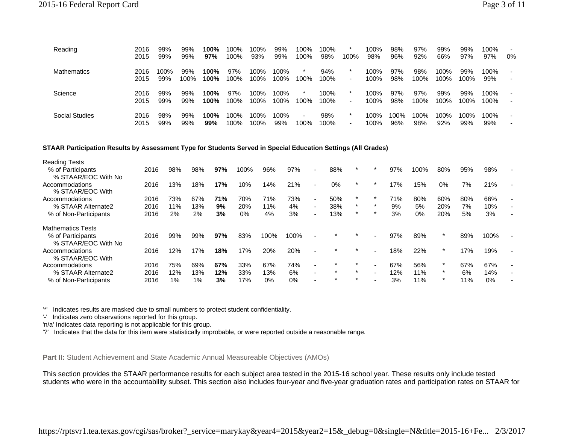| Reading        | 2016<br>2015 | 99%<br>99%  | 99%<br>99%  | 100%<br>97%  | 100%<br>100% | 100%<br>93%  | 99%<br>99%   | 100%<br>100%             | 100%<br>98% | 100%                                | 100%<br>98%     | 98%<br>96% | 97%<br>92%  | 99%<br>66%   | 99%<br>97%  | 100%<br>97% | $\overline{\phantom{0}}$<br>0% |
|----------------|--------------|-------------|-------------|--------------|--------------|--------------|--------------|--------------------------|-------------|-------------------------------------|-----------------|------------|-------------|--------------|-------------|-------------|--------------------------------|
| Mathematics    | 2016<br>2015 | 100%<br>99% | 99%<br>100% | 100%<br>100% | 97%<br>100%  | 100%<br>100% | 100%<br>100% | 100%                     | 94%<br>100% | $\star$<br>$\overline{\phantom{a}}$ | 100%<br>$100\%$ | 97%<br>98% | 98%<br>100% | 100%<br>100% | 99%<br>100% | 100%<br>99% | $\overline{\phantom{a}}$<br>٠  |
| Science        | 2016         | 99%         | 99%         | 100%         | 97%          | 100%         | 100%         | $\star$                  | 100%        | $\star$                             | 100%            | 97%        | 97%         | 99%          | 99%         | 100%        | $\overline{\phantom{a}}$       |
|                | 2015         | 99%         | 99%         | 100%         | 100%         | 100%         | 100%         | 100%                     | 100%        | $\overline{\phantom{a}}$            | 100%            | 98%        | 100%        | 100%         | 100%        | 100%        | ٠                              |
| Social Studies | 2016         | 98%         | 99%         | 100%         | 100%         | 100%         | 100%         | $\overline{\phantom{a}}$ | 98%         | $\ast$                              | 100%            | 100%       | 100%        | 100%         | 100%        | 100%        | $\sim$                         |
|                | 2015         | 99%         | 99%         | 99%          | 100%         | 100%         | 99%          | 100%                     | 100%        | $\blacksquare$                      | 100%            | 96%        | 98%         | 92%          | 99%         | 99%         | $\overline{\phantom{0}}$       |

#### **STAAR Participation Results by Assessment Type for Students Served in Special Education Settings (All Grades)**

| <b>Reading Tests</b>                     |      |     |       |     |       |       |       |                          |         |         |     |       |         |     |      |  |
|------------------------------------------|------|-----|-------|-----|-------|-------|-------|--------------------------|---------|---------|-----|-------|---------|-----|------|--|
| % of Participants                        | 2016 | 98% | 98%   | 97% | 100%  | 96%   | 97%   | $\overline{\phantom{0}}$ | 88%     |         | 97% | 100%  | 80%     | 95% | 98%  |  |
| % STAAR/EOC With No                      |      |     |       |     |       |       |       |                          |         |         |     |       |         |     |      |  |
| Accommodations<br>% STAAR/EOC With       | 2016 | l3% | 18%   | 17% | 10%   | 14%   | 21%   | $\overline{\phantom{a}}$ | 0%      | $\star$ | 17% | 15%   | $0\%$   | 7%  | 21%  |  |
| Accommodations                           | 2016 | 73% | 67%   | 71% | 70%   | 71%   | 73%   | ٠                        | 50%     |         | 71% | 80%   | 60%     | 80% | 66%  |  |
| % STAAR Alternate2                       | 2016 | 11% | 13%   | 9%  | 20%   | 11%   | 4%    |                          | 38%     | $\ast$  | 9%  | 5%    | 20%     | 7%  | 10%  |  |
| % of Non-Participants                    | 2016 | 2%  | 2%    | 3%  | $0\%$ | 4%    | 3%    | $\overline{\phantom{0}}$ | 13%     | $\star$ | 3%  | $0\%$ | 20%     | 5%  | 3%   |  |
| <b>Mathematics Tests</b>                 |      |     |       |     |       |       |       |                          |         |         |     |       |         |     |      |  |
| % of Participants<br>% STAAR/EOC With No | 2016 | 99% | 99%   | 97% | 83%   | 100%  | 100%  |                          |         |         | 97% | 89%   |         | 89% | 100% |  |
| Accommodations<br>% STAAR/EOC With       | 2016 | 2%  | 17%   | 18% | 17%   | 20%   | 20%   |                          |         |         | 18% | 22%   | $\ast$  | 17% | 19%  |  |
| Accommodations                           | 2016 | 75% | 69%   | 67% | 33%   | 67%   | 74%   | ٠                        |         |         | 67% | 56%   | $\ast$  | 67% | 67%  |  |
| % STAAR Alternate2                       | 2016 | 12% | 13%   | 12% | 33%   | 13%   | 6%    |                          | $\star$ | $\star$ | 12% | 11%   | $\star$ | 6%  | 14%  |  |
| % of Non-Participants                    | 2016 | 1%  | $1\%$ | 3%  | 17%   | $0\%$ | $0\%$ |                          | $\star$ | $\star$ | 3%  | 11%   | $\star$ | 11% | 0%   |  |

'\*' Indicates results are masked due to small numbers to protect student confidentiality.

'-' Indicates zero observations reported for this group.

'n/a' Indicates data reporting is not applicable for this group.

'?' Indicates that the data for this item were statistically improbable, or were reported outside a reasonable range.

**Part II:** Student Achievement and State Academic Annual Measureable Objectives (AMOs)

This section provides the STAAR performance results for each subject area tested in the 2015-16 school year. These results only include tested students who were in the accountability subset. This section also includes four-year and five-year graduation rates and participation rates on STAAR for

https://rptsvr1.tea.texas.gov/cgi/sas/broker?\_service=marykay&year4=2015&year2=15&\_debug=0&single=N&title=2015-16+Fe... 2/3/2017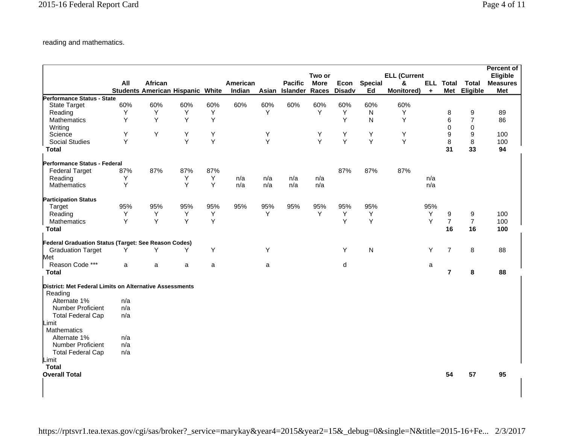reading and mathematics.

|                                                         |     |                                         |     |     |          |     |                |             |               |                |                     |                      |                |                | <b>Percent of</b> |
|---------------------------------------------------------|-----|-----------------------------------------|-----|-----|----------|-----|----------------|-------------|---------------|----------------|---------------------|----------------------|----------------|----------------|-------------------|
|                                                         |     |                                         |     |     |          |     |                | Two or      |               |                | <b>ELL (Current</b> |                      |                |                | Eligible          |
|                                                         | All | African                                 |     |     | American |     | <b>Pacific</b> | <b>More</b> | Econ          | <b>Special</b> | &                   | ELL                  | <b>Total</b>   | <b>Total</b>   | <b>Measures</b>   |
|                                                         |     | <b>Students American Hispanic White</b> |     |     | Indian   |     | Asian Islander | Races       | <b>Disadv</b> | Ed             | <b>Monitored)</b>   | $\ddot{\phantom{1}}$ | <b>Met</b>     | Eligible       | <b>Met</b>        |
| Performance Status - State                              |     |                                         |     |     |          |     |                |             |               |                |                     |                      |                |                |                   |
| <b>State Target</b>                                     | 60% | 60%                                     | 60% | 60% | 60%      | 60% | 60%            | 60%         | 60%           | 60%            | 60%                 |                      |                |                |                   |
| Reading                                                 | Υ   | Υ                                       | Υ   | Υ   |          | Y   |                | Y           | Y             | N              | Y                   |                      | 8              | 9              | 89                |
| Mathematics                                             | Y   | Y                                       | Y   | Y   |          |     |                |             | Y             | N              | Y                   |                      | 6              | $\overline{7}$ | 86                |
| Writing                                                 |     |                                         |     |     |          |     |                |             |               |                |                     |                      | $\mathsf 0$    | $\mathbf 0$    |                   |
| Science                                                 | Y   | Y                                       | Y   | Y   |          | Y   |                | Υ           | Υ             | Y              | Y                   |                      | 9              | 9              | 100               |
| <b>Social Studies</b>                                   | Y   |                                         | Y   | Y   |          | Y   |                | Y           | Y             | Y              | Υ                   |                      | 8              | 8              | 100               |
| <b>Total</b>                                            |     |                                         |     |     |          |     |                |             |               |                |                     |                      | 31             | 33             | 94                |
| Performance Status - Federal                            |     |                                         |     |     |          |     |                |             |               |                |                     |                      |                |                |                   |
| <b>Federal Target</b>                                   | 87% | 87%                                     | 87% | 87% |          |     |                |             | 87%           | 87%            | 87%                 |                      |                |                |                   |
| Reading                                                 | Y   |                                         | Y   | Y   | n/a      | n/a | n/a            | n/a         |               |                |                     | n/a                  |                |                |                   |
| <b>Mathematics</b>                                      | Y   |                                         | Y   | Y   | n/a      | n/a | n/a            | n/a         |               |                |                     | n/a                  |                |                |                   |
| <b>Participation Status</b>                             |     |                                         |     |     |          |     |                |             |               |                |                     |                      |                |                |                   |
| Target                                                  | 95% | 95%                                     | 95% | 95% | 95%      | 95% | 95%            | 95%         | 95%           | 95%            |                     | 95%                  |                |                |                   |
| Reading                                                 | Y   | Υ                                       | Y   | Υ   |          | Y   |                | Y           | Y             | Υ              |                     | Υ                    | 9              | 9              | 100               |
| Mathematics                                             | Y   | Y                                       | Y   | Y   |          |     |                |             | Y             | Y              |                     | Y                    | $\overline{7}$ | $\overline{7}$ | 100               |
| Total                                                   |     |                                         |     |     |          |     |                |             |               |                |                     |                      | 16             | 16             | 100               |
| Federal Graduation Status (Target: See Reason Codes)    |     |                                         |     |     |          |     |                |             |               |                |                     |                      |                |                |                   |
| <b>Graduation Target</b>                                | Y   | Y                                       | Y   | Y   |          | Y   |                |             | Y             | $\mathsf{N}$   |                     | Y                    | $\overline{7}$ | 8              | 88                |
| Met                                                     |     |                                         |     |     |          |     |                |             |               |                |                     |                      |                |                |                   |
| Reason Code ***                                         | a   | a                                       | a   | a   |          | a   |                |             | d             |                |                     | a                    |                |                |                   |
| <b>Total</b>                                            |     |                                         |     |     |          |     |                |             |               |                |                     |                      | $\overline{7}$ | 8              | 88                |
| District: Met Federal Limits on Alternative Assessments |     |                                         |     |     |          |     |                |             |               |                |                     |                      |                |                |                   |
| Reading                                                 |     |                                         |     |     |          |     |                |             |               |                |                     |                      |                |                |                   |
| Alternate 1%                                            | n/a |                                         |     |     |          |     |                |             |               |                |                     |                      |                |                |                   |
| Number Proficient                                       | n/a |                                         |     |     |          |     |                |             |               |                |                     |                      |                |                |                   |
| <b>Total Federal Cap</b>                                | n/a |                                         |     |     |          |     |                |             |               |                |                     |                      |                |                |                   |
| Limit                                                   |     |                                         |     |     |          |     |                |             |               |                |                     |                      |                |                |                   |
| Mathematics                                             |     |                                         |     |     |          |     |                |             |               |                |                     |                      |                |                |                   |
| Alternate 1%                                            | n/a |                                         |     |     |          |     |                |             |               |                |                     |                      |                |                |                   |
| <b>Number Proficient</b>                                | n/a |                                         |     |     |          |     |                |             |               |                |                     |                      |                |                |                   |
| <b>Total Federal Cap</b>                                | n/a |                                         |     |     |          |     |                |             |               |                |                     |                      |                |                |                   |
| Limit                                                   |     |                                         |     |     |          |     |                |             |               |                |                     |                      |                |                |                   |
| <b>Total</b>                                            |     |                                         |     |     |          |     |                |             |               |                |                     |                      |                |                |                   |
| <b>Overall Total</b>                                    |     |                                         |     |     |          |     |                |             |               |                |                     |                      | 54             | 57             | 95                |
|                                                         |     |                                         |     |     |          |     |                |             |               |                |                     |                      |                |                |                   |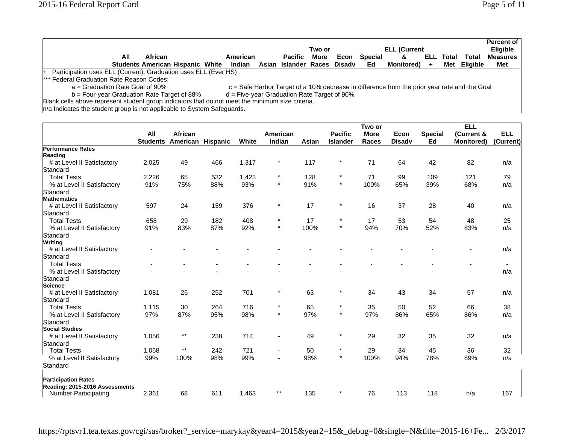|                                                                                                                                     | All                                                                                              | African |  |  | American                                                            |  | Pacific | Two or<br>More | Econ | Special | <b>ELL (Current</b><br>& | ELL . | Total | Total        | Percent of<br><b>Eligible</b><br><b>Measures</b> |
|-------------------------------------------------------------------------------------------------------------------------------------|--------------------------------------------------------------------------------------------------|---------|--|--|---------------------------------------------------------------------|--|---------|----------------|------|---------|--------------------------|-------|-------|--------------|--------------------------------------------------|
|                                                                                                                                     |                                                                                                  |         |  |  | Students American Hispanic White Indian Asian Islander Races Disadv |  |         |                |      | Ed      | <b>Monitored</b> )       |       |       | Met Eligible | Met                                              |
| + Participation uses ELL (Current), Graduation uses ELL (Ever HS)                                                                   |                                                                                                  |         |  |  |                                                                     |  |         |                |      |         |                          |       |       |              |                                                  |
| *** Federal Graduation Rate Reason Codes:                                                                                           |                                                                                                  |         |  |  |                                                                     |  |         |                |      |         |                          |       |       |              |                                                  |
| $a =$ Graduation Rate Goal of 90%<br>$c =$ Safe Harbor Target of a 10% decrease in difference from the prior year rate and the Goal |                                                                                                  |         |  |  |                                                                     |  |         |                |      |         |                          |       |       |              |                                                  |
| $d =$ Five-year Graduation Rate Target of 90%<br>$b = Four-year Gradient Rate Target of 88%$                                        |                                                                                                  |         |  |  |                                                                     |  |         |                |      |         |                          |       |       |              |                                                  |
|                                                                                                                                     | Blank cells above represent student group indicators that do not meet the minimum size criteria. |         |  |  |                                                                     |  |         |                |      |         |                          |       |       |              |                                                  |

n/a Indicates the student group is not applicable to System Safeguards.

|                                |                 |                          |     |       |          |       |                 | Two or       |               |                | <b>ELL</b>               |                          |
|--------------------------------|-----------------|--------------------------|-----|-------|----------|-------|-----------------|--------------|---------------|----------------|--------------------------|--------------------------|
|                                | All             | African                  |     |       | American |       | <b>Pacific</b>  | <b>More</b>  | Econ          | <b>Special</b> | (Current &               | <b>ELL</b>               |
|                                | <b>Students</b> | <b>American Hispanic</b> |     | White | Indian   | Asian | <b>Islander</b> | <b>Races</b> | <b>Disadv</b> | Ed             | <b>Monitored)</b>        | (Current)                |
| <b>Performance Rates</b>       |                 |                          |     |       |          |       |                 |              |               |                |                          |                          |
| Reading                        |                 |                          |     |       |          |       |                 |              |               |                |                          |                          |
| # at Level II Satisfactory     | 2,025           | 49                       | 466 | 1,317 | $\ast$   | 117   | $\ast$          | 71           | 64            | 42             | 82                       | n/a                      |
| Standard                       |                 |                          |     |       |          |       |                 |              |               |                |                          |                          |
| <b>Total Tests</b>             | 2,226           | 65                       | 532 | 1,423 | $\star$  | 128   | $\star$         | 71           | 99            | 109            | 121                      | 79                       |
| % at Level II Satisfactory     | 91%             | 75%                      | 88% | 93%   | $\star$  | 91%   | $\star$         | 100%         | 65%           | 39%            | 68%                      | n/a                      |
| Standard                       |                 |                          |     |       |          |       |                 |              |               |                |                          |                          |
| <b>Mathematics</b>             |                 |                          |     |       |          |       |                 |              |               |                |                          |                          |
| # at Level II Satisfactory     | 597             | 24                       | 159 | 376   | $\star$  | 17    | $\star$         | 16           | 37            | 28             | 40                       | n/a                      |
| Standard                       |                 |                          |     |       |          |       |                 |              |               |                |                          |                          |
| <b>Total Tests</b>             | 658             | 29                       | 182 | 408   | $\star$  | 17    | $\star$         | 17           | 53            | 54             | 48                       | 25                       |
| % at Level II Satisfactory     | 91%             | 83%                      | 87% | 92%   | $\star$  | 100%  | $\star$         | 94%          | 70%           | 52%            | 83%                      | n/a                      |
| Standard                       |                 |                          |     |       |          |       |                 |              |               |                |                          |                          |
| <b>Writing</b>                 |                 |                          |     |       |          |       |                 |              |               |                |                          |                          |
| # at Level II Satisfactory     |                 |                          |     |       |          |       |                 |              |               |                |                          | n/a                      |
| Standard                       |                 |                          |     |       |          |       |                 |              |               |                |                          |                          |
| <b>Total Tests</b>             |                 |                          |     |       |          |       |                 |              |               |                | $\overline{\phantom{a}}$ | $\overline{\phantom{a}}$ |
| % at Level II Satisfactory     |                 |                          |     |       |          |       |                 |              |               |                | $\blacksquare$           | n/a                      |
| Standard                       |                 |                          |     |       |          |       |                 |              |               |                |                          |                          |
| Science                        |                 |                          |     |       |          |       |                 |              |               |                |                          |                          |
| # at Level II Satisfactory     | 1,081           | 26                       | 252 | 701   | $\star$  | 63    | $\star$         | 34           | 43            | 34             | 57                       | n/a                      |
| Standard                       |                 |                          |     |       |          |       |                 |              |               |                |                          |                          |
| <b>Total Tests</b>             | 1,115           | 30                       | 264 | 716   | $\star$  | 65    | $\star$         | 35           | 50            | 52             | 66                       | 38                       |
| % at Level II Satisfactory     | 97%             | 87%                      | 95% | 98%   | $\star$  | 97%   | $\star$         | 97%          | 86%           | 65%            | 86%                      | n/a                      |
| Standard                       |                 |                          |     |       |          |       |                 |              |               |                |                          |                          |
| <b>Social Studies</b>          |                 |                          |     |       |          |       |                 |              |               |                |                          |                          |
| # at Level II Satisfactory     | 1,056           | $***$                    | 238 | 714   |          | 49    | $\star$         | 29           | 32            | 35             | 32                       | n/a                      |
| Standard                       |                 |                          |     |       |          |       |                 |              |               |                |                          |                          |
| <b>Total Tests</b>             | 1,068           | $^{\star\star}$          | 242 | 721   |          | 50    | $\star$         | 29           | 34            | 45             | 36                       | 32                       |
| % at Level II Satisfactory     | 99%             | 100%                     | 98% | 99%   |          | 98%   | $\star$         | 100%         | 94%           | 78%            | 89%                      | n/a                      |
| Standard                       |                 |                          |     |       |          |       |                 |              |               |                |                          |                          |
| <b>Participation Rates</b>     |                 |                          |     |       |          |       |                 |              |               |                |                          |                          |
| Reading: 2015-2016 Assessments |                 |                          |     |       |          |       |                 |              |               |                |                          |                          |
| <b>Number Participating</b>    | 2,361           | 68                       | 611 | 1,463 | $***$    | 135   | $\star$         | 76           | 113           | 118            | n/a                      | 167                      |

https://rptsvr1.tea.texas.gov/cgi/sas/broker?\_service=marykay&year4=2015&year2=15&\_debug=0&single=N&title=2015-16+Fe... 2/3/2017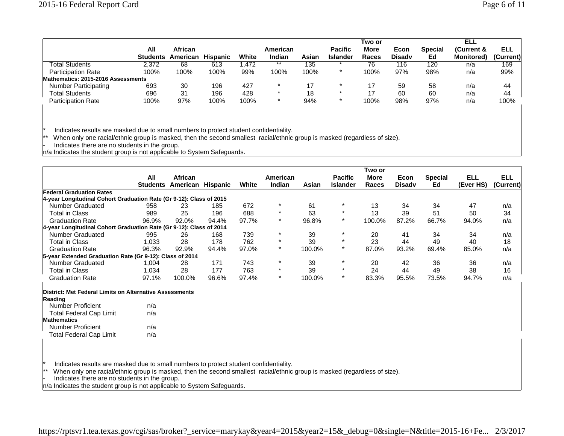|                                    |                 |                |                 |       |          |       |                 | Two or       |               |                | ELL                |           |
|------------------------------------|-----------------|----------------|-----------------|-------|----------|-------|-----------------|--------------|---------------|----------------|--------------------|-----------|
|                                    | All             | <b>African</b> |                 |       | American |       | <b>Pacific</b>  | <b>More</b>  | Econ          | <b>Special</b> | (Current &         | ELL       |
|                                    | <b>Students</b> | American       | <b>Hispanic</b> | White | Indian   | Asian | <b>Islander</b> | <b>Races</b> | <b>Disady</b> | Ed             | <b>Monitored</b> ) | (Current) |
| Total Students                     | 2.372           | 68             | 613             | .472  | **       | 135   |                 | 76           | 116           | 120            | n/a                | 169       |
| <b>Participation Rate</b>          | 100%            | 100%           | 100%            | 99%   | 100%     | 100%  | $\star$         | 100%         | 97%           | 98%            | n/a                | 99%       |
| Mathematics: 2015-2016 Assessments |                 |                |                 |       |          |       |                 |              |               |                |                    |           |
| <b>Number Participating</b>        | 693             | 30             | 196             | 427   | $\star$  |       | $\ast$          | 17           | 59            | 58             | n/a                | 44        |
| <b>Total Students</b>              | 696             | -31            | 196             | 428   | $\star$  | 18    | $\star$         | 17           | 60            | 60             | n/a                | 44        |
| <b>Participation Rate</b>          | 100%            | 97%            | 100%            | 100%  | $\star$  | 94%   | $\star$         | 100%         | 98%           | 97%            | n/a                | 100%      |

\* Indicates results are masked due to small numbers to protect student confidentiality.

\*\* When only one racial/ethnic group is masked, then the second smallest racial/ethnic group is masked (regardless of size).

- Indicates there are no students in the group.

n/a Indicates the student group is not applicable to System Safeguards.

|                                                                                                                                           |                 |                   |       |       |          |        |                 | Two or       |               |                |            |            |
|-------------------------------------------------------------------------------------------------------------------------------------------|-----------------|-------------------|-------|-------|----------|--------|-----------------|--------------|---------------|----------------|------------|------------|
|                                                                                                                                           | All             | African           |       |       | American |        | <b>Pacific</b>  | <b>More</b>  | Econ          | <b>Special</b> | <b>ELL</b> | <b>ELL</b> |
|                                                                                                                                           | <b>Students</b> | American Hispanic |       | White | Indian   | Asian  | <b>Islander</b> | <b>Races</b> | <b>Disady</b> | Ed             | (Ever HS)  | (Current)  |
| <b>Federal Graduation Rates</b>                                                                                                           |                 |                   |       |       |          |        |                 |              |               |                |            |            |
| 4-year Longitudinal Cohort Graduation Rate (Gr 9-12): Class of 2015                                                                       |                 |                   |       |       |          |        |                 |              |               |                |            |            |
| Number Graduated                                                                                                                          | 958             | 23                | 185   | 672   |          | 61     |                 | 13           | 34            | 34             | 47         | n/a        |
| <b>Total in Class</b>                                                                                                                     | 989             | 25                | 196   | 688   |          | 63     | $\star$         | 13           | 39            | 51             | 50         | 34         |
| <b>Graduation Rate</b>                                                                                                                    | 96.9%           | 92.0%             | 94.4% | 97.7% | $\star$  | 96.8%  | $\star$         | 100.0%       | 87.2%         | 66.7%          | 94.0%      | n/a        |
| 4-year Longitudinal Cohort Graduation Rate (Gr 9-12): Class of 2014                                                                       |                 |                   |       |       |          |        |                 |              |               |                |            |            |
| Number Graduated                                                                                                                          | 995             | 26                | 168   | 739   | $\ast$   | 39     | $\star$         | 20           | 41            | 34             | 34         | n/a        |
| <b>Total in Class</b>                                                                                                                     | 1,033           | 28                | 178   | 762   | $\star$  | 39     | $\star$         | 23           | 44            | 49             | 40         | 18         |
| <b>Graduation Rate</b>                                                                                                                    | 96.3%           | 92.9%             | 94.4% | 97.0% | $\star$  | 100.0% | $\star$         | 87.0%        | 93.2%         | 69.4%          | 85.0%      | n/a        |
| 5-year Extended Graduation Rate (Gr 9-12): Class of 2014                                                                                  |                 |                   |       |       |          |        |                 |              |               |                |            |            |
| Number Graduated                                                                                                                          | 1,004           | 28                | 171   | 743   | $^\star$ | 39     | $\star$         | 20           | 42            | 36             | 36         | n/a        |
| <b>Total in Class</b>                                                                                                                     | 1,034           | 28                | 177   | 763   | $\star$  | 39     | $\star$         | 24           | 44            | 49             | 38         | 16         |
| <b>Graduation Rate</b>                                                                                                                    | 97.1%           | 100.0%            | 96.6% | 97.4% | $\star$  | 100.0% | $\star$         | 83.3%        | 95.5%         | 73.5%          | 94.7%      | n/a        |
| District: Met Federal Limits on Alternative Assessments                                                                                   |                 |                   |       |       |          |        |                 |              |               |                |            |            |
| Reading                                                                                                                                   |                 |                   |       |       |          |        |                 |              |               |                |            |            |
| <b>Number Proficient</b>                                                                                                                  | n/a             |                   |       |       |          |        |                 |              |               |                |            |            |
| <b>Total Federal Cap Limit</b>                                                                                                            | n/a             |                   |       |       |          |        |                 |              |               |                |            |            |
| <b>Mathematics</b>                                                                                                                        |                 |                   |       |       |          |        |                 |              |               |                |            |            |
| <b>Number Proficient</b>                                                                                                                  | n/a             |                   |       |       |          |        |                 |              |               |                |            |            |
| Total Federal Cap Limit                                                                                                                   | n/a             |                   |       |       |          |        |                 |              |               |                |            |            |
|                                                                                                                                           |                 |                   |       |       |          |        |                 |              |               |                |            |            |
|                                                                                                                                           |                 |                   |       |       |          |        |                 |              |               |                |            |            |
|                                                                                                                                           |                 |                   |       |       |          |        |                 |              |               |                |            |            |
| Indicates results are masked due to small numbers to protect student confidentiality.                                                     |                 |                   |       |       |          |        |                 |              |               |                |            |            |
| $\star\star$<br>When only one racial/ethnic group is masked, then the second smallest racial/ethnic group is masked (regardless of size). |                 |                   |       |       |          |        |                 |              |               |                |            |            |
| Indicates there are no students in the group.                                                                                             |                 |                   |       |       |          |        |                 |              |               |                |            |            |

n/a Indicates the student group is not applicable to System Safeguards.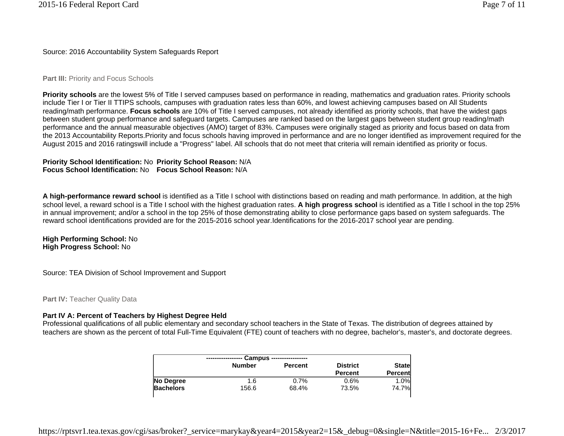Source: 2016 Accountability System Safeguards Report

### **Part III: Priority and Focus Schools**

**Priority schools** are the lowest 5% of Title I served campuses based on performance in reading, mathematics and graduation rates. Priority schools include Tier I or Tier II TTIPS schools, campuses with graduation rates less than 60%, and lowest achieving campuses based on All Students reading/math performance. **Focus schools** are 10% of Title I served campuses, not already identified as priority schools, that have the widest gaps between student group performance and safeguard targets. Campuses are ranked based on the largest gaps between student group reading/math performance and the annual measurable objectives (AMO) target of 83%. Campuses were originally staged as priority and focus based on data from the 2013 Accountability Reports.Priority and focus schools having improved in performance and are no longer identified as improvement required for the August 2015 and 2016 ratingswill include a "Progress" label. All schools that do not meet that criteria will remain identified as priority or focus.

### **Priority School Identification:** No **Priority School Reason:** N/A **Focus School Identification:** No**Focus School Reason:** N/A

**A high-performance reward school** is identified as a Title I school with distinctions based on reading and math performance. In addition, at the high school level, a reward school is a Title I school with the highest graduation rates. **A high progress school** is identified as a Title I school in the top 25% in annual improvement; and/or a school in the top 25% of those demonstrating ability to close performance gaps based on system safeguards. The reward school identifications provided are for the 2015-2016 school year.Identifications for the 2016-2017 school year are pending.

### **High Performing School:** No **High Progress School:** No

Source: TEA Division of School Improvement and Support

**Part IV: Teacher Quality Data** 

## **Part IV A: Percent of Teachers by Highest Degree Held**

Professional qualifications of all public elementary and secondary school teachers in the State of Texas. The distribution of degrees attained by teachers are shown as the percent of total Full-Time Equivalent (FTE) count of teachers with no degree, bachelor's, master's, and doctorate degrees.

|                  |               | Campus ----------------- |                 |         |
|------------------|---------------|--------------------------|-----------------|---------|
|                  | <b>Number</b> | <b>Percent</b>           | <b>District</b> | State   |
|                  |               |                          | <b>Percent</b>  | Percent |
| No Degree        | 1.6           | 0.7%                     | 0.6%            | 1.0%    |
| <b>Bachelors</b> | 156.6         | 68.4%                    | 73.5%           | 74.7%   |
|                  |               |                          |                 |         |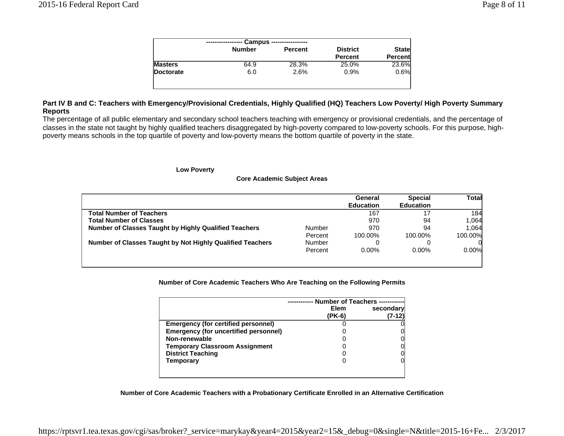| <b>Number</b><br><b>District</b><br><b>Percent</b><br><b>Percent</b><br>28.3%<br>25.0%<br>64.9 |              |  | Campus - |  |
|------------------------------------------------------------------------------------------------|--------------|--|----------|--|
|                                                                                                | <b>State</b> |  |          |  |
| <b>Masters</b>                                                                                 | Percent      |  |          |  |
|                                                                                                | 23.6%        |  |          |  |
| 2.6%<br>Doctorate<br>6.0<br>0.9%                                                               | 0.6%         |  |          |  |

# **Part IV B and C: Teachers with Emergency/Provisional Credentials, Highly Qualified (HQ) Teachers Low Poverty/ High Poverty Summary Reports**

The percentage of all public elementary and secondary school teachers teaching with emergency or provisional credentials, and the percentage of classes in the state not taught by highly qualified teachers disaggregated by high-poverty compared to low-poverty schools. For this purpose, highpoverty means schools in the top quartile of poverty and low-poverty means the bottom quartile of poverty in the state.

#### **Low Poverty**

|  | <b>Core Academic Subject Areas</b> |  |  |
|--|------------------------------------|--|--|
|--|------------------------------------|--|--|

|                                                              |               | General<br><b>Education</b> | <b>Special</b><br><b>Education</b> | Total   |
|--------------------------------------------------------------|---------------|-----------------------------|------------------------------------|---------|
| <b>Total Number of Teachers</b>                              |               | 167                         | 17                                 | 184     |
| <b>Total Number of Classes</b>                               |               | 970                         | 94                                 | 1,064   |
| <b>Number of Classes Taught by Highly Qualified Teachers</b> | Number        | 970                         | 94                                 | 1.064   |
|                                                              | Percent       | 100.00%                     | 100.00%                            | 100.00% |
| Number of Classes Taught by Not Highly Qualified Teachers    | <b>Number</b> |                             |                                    |         |
|                                                              | Percent       | 0.00%                       | $0.00\%$                           | 0.00%   |
|                                                              |               |                             |                                    |         |

**Number of Core Academic Teachers Who Are Teaching on the Following Permits**

|                                            | <b>Number of Teachers</b><br>Elem | secondary |
|--------------------------------------------|-----------------------------------|-----------|
|                                            | (PK-6)                            | 7-12      |
| <b>Emergency (for certified personnel)</b> |                                   |           |
| Emergency (for uncertified personnel)      |                                   |           |
| Non-renewable                              |                                   |           |
| <b>Temporary Classroom Assignment</b>      |                                   |           |
| <b>District Teaching</b>                   |                                   |           |
| Temporary                                  |                                   |           |
|                                            |                                   |           |

#### **Number of Core Academic Teachers with a Probationary Certificate Enrolled in an Alternative Certification**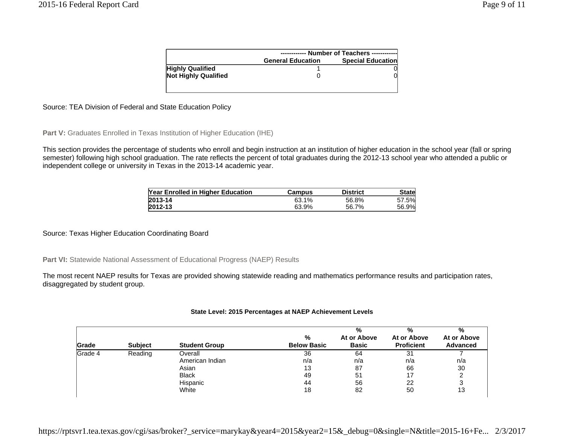|                             |                          | ------------ Number of Teachers ------------ |  |
|-----------------------------|--------------------------|----------------------------------------------|--|
|                             | <b>General Education</b> | <b>Special Education</b>                     |  |
| <b>Highly Qualified</b>     |                          |                                              |  |
| <b>Not Highly Qualified</b> |                          |                                              |  |
|                             |                          |                                              |  |

# Source: TEA Division of Federal and State Education Policy

Part V: Graduates Enrolled in Texas Institution of Higher Education (IHE)

This section provides the percentage of students who enroll and begin instruction at an institution of higher education in the school year (fall or spring semester) following high school graduation. The rate reflects the percent of total graduates during the 2012-13 school year who attended a public or independent college or university in Texas in the 2013-14 academic year.

| Year Enrolled in Higher Education | Campus | <b>District</b> | <b>State</b> |
|-----------------------------------|--------|-----------------|--------------|
| 2013-14                           | 63.1%  | 56.8%           | 57.5%        |
| 2012-13                           | 63.9%  | 56.7%           | 56.9%        |

Source: Texas Higher Education Coordinating Board

Part VI: Statewide National Assessment of Educational Progress (NAEP) Results

The most recent NAEP results for Texas are provided showing statewide reading and mathematics performance results and participation rates, disaggregated by student group.

#### **State Level: 2015 Percentages at NAEP Achievement Levels**

| Grade   | <b>Subject</b> | <b>Student Group</b> | %<br><b>Below Basic</b> | %<br>At or Above<br><b>Basic</b> | %<br>At or Above<br><b>Proficient</b> | %<br>At or Above<br><b>Advanced</b> |
|---------|----------------|----------------------|-------------------------|----------------------------------|---------------------------------------|-------------------------------------|
| Grade 4 | Reading        | Overall              | 36                      | 64                               | 31                                    |                                     |
|         |                | American Indian      | n/a                     | n/a                              | n/a                                   | n/a                                 |
|         |                | Asian                | 13                      | 87                               | 66                                    | 30                                  |
|         |                | <b>Black</b>         | 49                      | 51                               |                                       |                                     |
|         |                | Hispanic             | 44                      | 56                               | 22                                    |                                     |
|         |                | White                | 18                      | 82                               | 50                                    | 13                                  |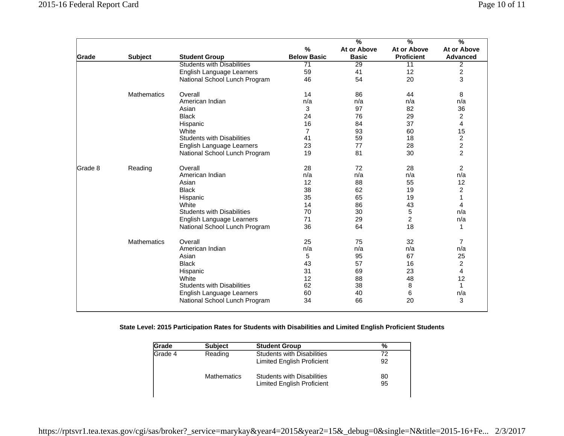|         |                    |                                   |                    | $\overline{\frac{9}{6}}$ | $\overline{\frac{9}{6}}$ | $\frac{9}{6}$           |
|---------|--------------------|-----------------------------------|--------------------|--------------------------|--------------------------|-------------------------|
|         |                    |                                   | $\frac{0}{0}$      | At or Above              | At or Above              | At or Above             |
| Grade   | <b>Subject</b>     | <b>Student Group</b>              | <b>Below Basic</b> | <b>Basic</b>             | <b>Proficient</b>        | <b>Advanced</b>         |
|         |                    | <b>Students with Disabilities</b> | $\overline{71}$    | $\overline{29}$          | $\overline{11}$          | $\overline{2}$          |
|         |                    | English Language Learners         | 59                 | 41                       | 12                       | $\overline{\mathbf{c}}$ |
|         |                    | National School Lunch Program     | 46                 | 54                       | 20                       | 3                       |
|         | <b>Mathematics</b> | Overall                           | 14                 | 86                       | 44                       | 8                       |
|         |                    | American Indian                   | n/a                | n/a                      | n/a                      | n/a                     |
|         |                    | Asian                             | 3                  | 97                       | 82                       | 36                      |
|         |                    | <b>Black</b>                      | 24                 | 76                       | 29                       | $\overline{c}$          |
|         |                    | Hispanic                          | 16                 | 84                       | 37                       | 4                       |
|         |                    | White                             | $\overline{7}$     | 93                       | 60                       | 15                      |
|         |                    | <b>Students with Disabilities</b> | 41                 | 59                       | 18                       | $\overline{\mathbf{c}}$ |
|         |                    | English Language Learners         | 23                 | 77                       | 28                       | $\overline{c}$          |
|         |                    | National School Lunch Program     | 19                 | 81                       | 30                       | $\overline{c}$          |
| Grade 8 | Reading            | Overall                           | 28                 | 72                       | 28                       | $\overline{c}$          |
|         |                    | American Indian                   | n/a                | n/a                      | n/a                      | n/a                     |
|         |                    | Asian                             | 12                 | 88                       | 55                       | 12                      |
|         |                    | <b>Black</b>                      | 38                 | 62                       | 19                       | $\overline{c}$          |
|         |                    | Hispanic                          | 35                 | 65                       | 19                       | 1                       |
|         |                    | White                             | 14                 | 86                       | 43                       | 4                       |
|         |                    | <b>Students with Disabilities</b> | 70                 | 30                       | 5                        | n/a                     |
|         |                    | English Language Learners         | 71                 | 29                       | $\overline{2}$           | n/a                     |
|         |                    | National School Lunch Program     | 36                 | 64                       | 18                       | 1                       |
|         | <b>Mathematics</b> | Overall                           | 25                 | 75                       | 32                       | 7                       |
|         |                    | American Indian                   | n/a                | n/a                      | n/a                      | n/a                     |
|         |                    | Asian                             | 5                  | 95                       | 67                       | 25                      |
|         |                    | <b>Black</b>                      | 43                 | 57                       | 16                       | $\overline{\mathbf{c}}$ |
|         |                    | Hispanic                          | 31                 | 69                       | 23                       | $\overline{\mathbf{4}}$ |
|         |                    | White                             | 12                 | 88                       | 48                       | 12                      |
|         |                    | <b>Students with Disabilities</b> | 62                 | 38                       | 8                        | $\mathbf{1}$            |
|         |                    | English Language Learners         | 60                 | 40                       | 6                        | n/a                     |
|         |                    | National School Lunch Program     | 34                 | 66                       | 20                       | 3                       |

## **State Level: 2015 Participation Rates for Students with Disabilities and Limited English Proficient Students**

| Grade   | <b>Subject</b>     | <b>Student Group</b>              | %  |
|---------|--------------------|-----------------------------------|----|
| Grade 4 | Reading            | <b>Students with Disabilities</b> | 72 |
|         |                    | Limited English Proficient        | 92 |
|         | <b>Mathematics</b> | <b>Students with Disabilities</b> | 80 |
|         |                    | <b>Limited English Proficient</b> | 95 |